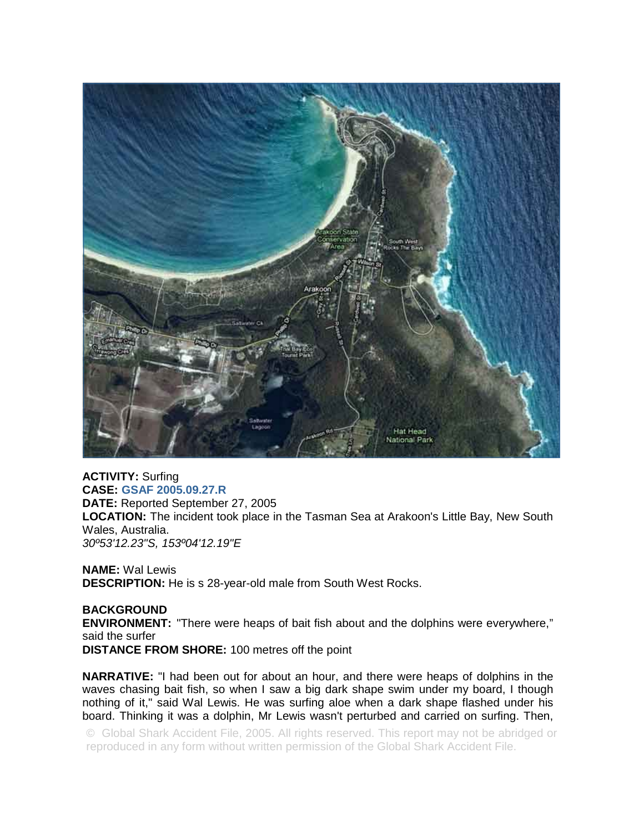

## **ACTIVITY:** Surfing

**CASE: GSAF 2005.09.27.R DATE:** Reported September 27, 2005 **LOCATION:** The incident took place in the Tasman Sea at Arakoon's Little Bay, New South Wales, Australia. *30º53'12.23"S, 153º04'12.19"E* 

**NAME:** Wal Lewis **DESCRIPTION:** He is s 28-year-old male from South West Rocks.

## **BACKGROUND**

**ENVIRONMENT:** "There were heaps of bait fish about and the dolphins were everywhere," said the surfer

**DISTANCE FROM SHORE:** 100 metres off the point

**NARRATIVE:** "I had been out for about an hour, and there were heaps of dolphins in the waves chasing bait fish, so when I saw a big dark shape swim under my board, I though nothing of it," said Wal Lewis. He was surfing aloe when a dark shape flashed under his board. Thinking it was a dolphin, Mr Lewis wasn't perturbed and carried on surfing. Then,

© Global Shark Accident File, 2005. All rights reserved. This report may not be abridged or reproduced in any form without written permission of the Global Shark Accident File.